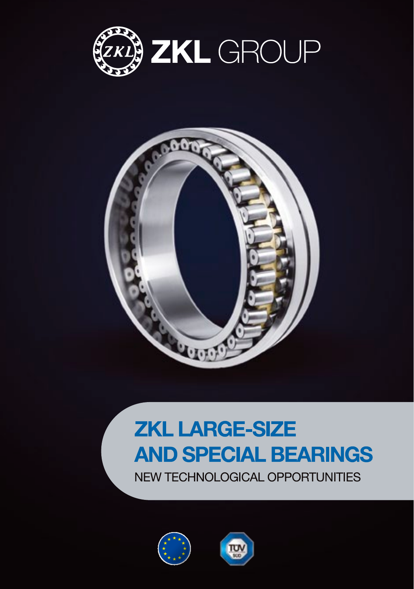



# **ZKL LARGE-SIZE AND SPECIAL BEARINGS**

NEW TECHNOLOGICAL OPPORTUNITIES



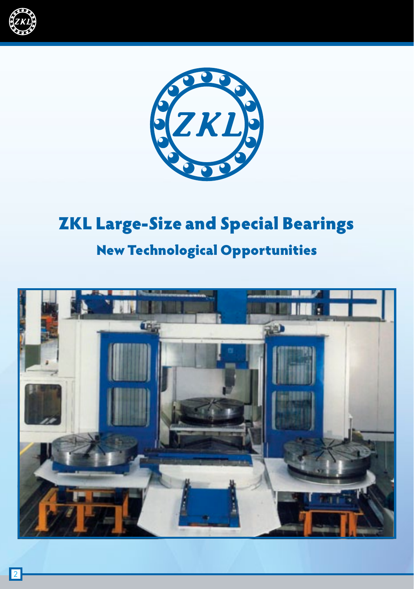



# ZKL Large-Size and Special Bearings

# New Technological Opportunities

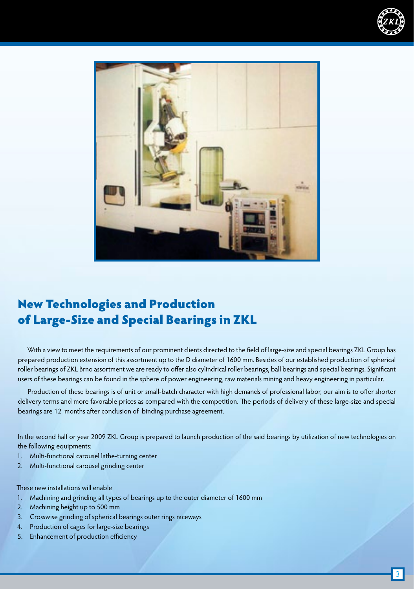



# New Technologies and Production of Large-Size and Special Bearings in ZKL

With a view to meet the requirements of our prominent clients directed to the field of large-size and special bearings ZKL Group has prepared production extension of this assortment up to the D diameter of 1600 mm. Besides of our established production of spherical roller bearings of ZKL Brno assortment we are ready to offer also cylindrical roller bearings, ball bearings and special bearings. Significant users of these bearings can be found in the sphere of power engineering, raw materials mining and heavy engineering in particular.

Production of these bearings is of unit or small-batch character with high demands of professional labor, our aim is to offer shorter delivery terms and more favorable prices as compared with the competition. The periods of delivery of these large-size and special bearings are 12 months after conclusion of binding purchase agreement.

In the second half or year 2009 ZKL Group is prepared to launch production of the said bearings by utilization of new technologies on the following equipments:

- 1. Multi-functional carousel lathe-turning center
- 2. Multi-functional carousel grinding center

These new installations will enable

- 1. Machining and grinding all types of bearings up to the outer diameter of 1600 mm
- 2. Machining height up to 500 mm
- 3. Crosswise grinding of spherical bearings outer rings raceways
- 4. Production of cages for large-size bearings
- 5. Enhancement of production efficiency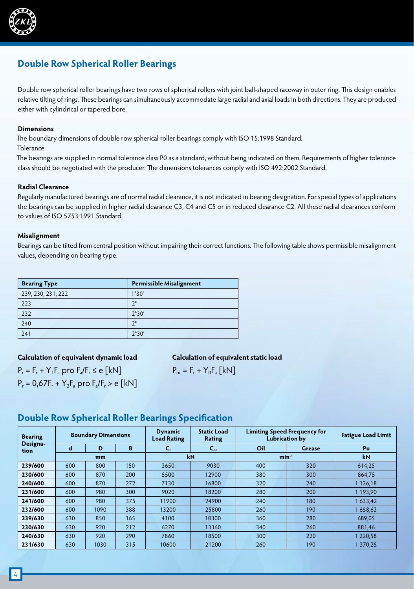

# **Double Row Spherical Roller Bearings**

Double row spherical roller bearings have two rows of spherical rollers with joint ball-shaped raceway in outer ring. This design enables relative tilting of rings. These bearings can simultaneously accommodate large radial and axial loads in both directions. They are produced either with cylindrical or tapered bore.

#### **Dimensions**

The boundary dimensions of double row spherical roller bearings comply with ISO 15:1998 Standard.

**Tolerance** 

The bearings are supplied in normal tolerance class P0 as a standard, without being indicated on them. Requirements of higher tolerance class should be negotiated with the producer. The dimensions tolerances comply with ISO 492:2002 Standard.

#### **Radial Clearance**

Regularly manufactured bearings are of normal radial clearance, it is not indicated in bearing designation. For special types of applications the bearings can be supplied in higher radial clearance C3, C4 and C5 or in reduced clearance C2. All these radial clearances conform to values of ISO 5753:1991 Standard.

#### **Misalignment**

Bearings can be tilted from central position without impairing their correct functions. The following table shows permissible misalignment values, depending on bearing type.

| <b>Bearing Type</b> | <b>Permissible Misalignment</b> |
|---------------------|---------------------------------|
| 239, 230, 231, 222  | 1°30'                           |
| 223                 | າ∘                              |
| 232                 | 2°30'                           |
| 240                 | ٦°                              |
| 241                 | 2°30'                           |

#### **Calculation of equivalent dynamic load**

 $P_r = F_r + Y_1F_s$  pro  $F_s/F_r \le e$  [kN]  $P_r = 0.67F_r + Y_2F_a$  pro  $F_a/F_r > e$  [kN]

#### **Calculation of equivalent static load**

$$
P_{or} = F_r + Y_0 F_a [kN]
$$

## **Double Row Spherical Roller Bearings Specification**

| <b>Bearing</b><br>Designa- | <b>Boundary Dimensions</b> |      |     | <b>Dynamic</b><br><b>Load Rating</b> | <b>Static Load</b><br><b>Rating</b> | <b>Limiting Speed Frequency for</b><br><b>Lubrication by</b> |           | <b>Fatigue Load Limit</b> |
|----------------------------|----------------------------|------|-----|--------------------------------------|-------------------------------------|--------------------------------------------------------------|-----------|---------------------------|
| tion                       | d                          | D    | B   | C,                                   | $C_{\rm or}$                        | Oil                                                          | Grease    | Pu                        |
|                            | mm                         |      |     | kN                                   |                                     | $min^{-1}$                                                   | <b>kN</b> |                           |
| 239/600                    | 600                        | 800  | 150 | 3650                                 | 9030                                | 400                                                          | 320       | 614,25                    |
| 230/600                    | 600                        | 870  | 200 | 5500                                 | 12900                               | 380                                                          | 300       | 864.75                    |
| 240/600                    | 600                        | 870  | 272 | 7130                                 | 16800                               | 320                                                          | 240       | 1 1 26, 18                |
| 231/600                    | 600                        | 980  | 300 | 9020                                 | 18200                               | 280                                                          | 200       | 1 193.90                  |
| 241/600                    | 600                        | 980  | 375 | 11900                                | 24900                               | 240                                                          | 180       | 1633,42                   |
| 232/600                    | 600                        | 1090 | 388 | 13200                                | 25800                               | 260                                                          | 190       | 1658.63                   |
| 239/630                    | 630                        | 850  | 165 | 4100                                 | 10300                               | 360                                                          | 280       | 689,05                    |
| 230/630                    | 630                        | 920  | 212 | 6270                                 | 13360                               | 340                                                          | 260       | 881.46                    |
| 240/630                    | 630                        | 920  | 290 | 7860                                 | 18500                               | 300                                                          | 220       | 1220,58                   |
| 231/630                    | 630                        | 1030 | 315 | 10600                                | 21200                               | 260                                                          | 190       | 1370.25                   |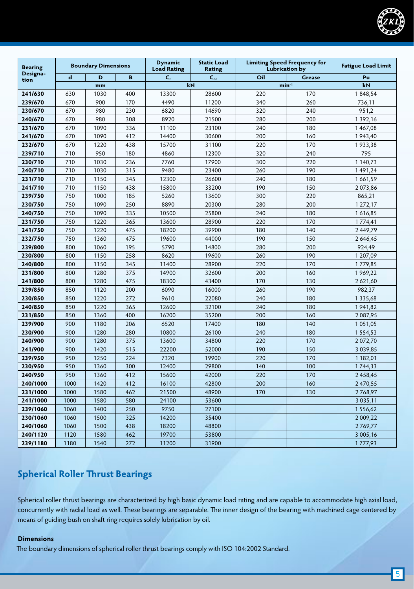

| <b>Bearing</b>   |             | <b>Static Load</b><br><b>Limiting Speed Frequency for</b><br><b>Dynamic</b><br><b>Boundary Dimensions</b><br><b>Load Rating</b><br><b>Lubrication by</b><br><b>Rating</b> |     | <b>Fatigue Load Limit</b> |              |     |               |               |
|------------------|-------------|---------------------------------------------------------------------------------------------------------------------------------------------------------------------------|-----|---------------------------|--------------|-----|---------------|---------------|
| Designa-<br>tion | $\mathbf d$ | D                                                                                                                                                                         | B   | C.                        | $C_{\rm or}$ | Oil | <b>Grease</b> | Pu            |
|                  |             | mm                                                                                                                                                                        |     |                           | kN           |     | $min-1$       | kN            |
| 241/630          | 630         | 1030                                                                                                                                                                      | 400 | 13300                     | 28600        | 220 | 170           | 1848,54       |
| 239/670          | 670         | 900                                                                                                                                                                       | 170 | 4490                      | 11200        | 340 | 260           | 736,11        |
| 230/670          | 670         | 980                                                                                                                                                                       | 230 | 6820                      | 14690        | 320 | 240           | 951,2         |
| 240/670          | 670         | 980                                                                                                                                                                       | 308 | 8920                      | 21500        | 280 | 200           | 1392,16       |
| 231/670          | 670         | 1090                                                                                                                                                                      | 336 | 11100                     | 23100        | 240 | 180           | 1467,08       |
| 241/670          | 670         | 1090                                                                                                                                                                      | 412 | 14400                     | 30600        | 200 | 160           | 1943,40       |
| 232/670          | 670         | 1220                                                                                                                                                                      | 438 | 15700                     | 31100        | 220 | 170           | 1933,38       |
| 239/710          | 710         | 950                                                                                                                                                                       | 180 | 4860                      | 12300        | 320 | 240           | 795           |
| 230/710          | 710         | 1030                                                                                                                                                                      | 236 | 7760                      | 17900        | 300 | 220           | 1 140,73      |
| 240/710          | 710         | 1030                                                                                                                                                                      | 315 | 9480                      | 23400        | 260 | 190           | 1491,24       |
| 231/710          | 710         | 1150                                                                                                                                                                      | 345 | 12300                     | 26600        | 240 | 180           | 1661,59       |
| 241/710          | 710         | 1150                                                                                                                                                                      | 438 | 15800                     | 33200        | 190 | 150           | 2073,86       |
| 239/750          | 750         | 1000                                                                                                                                                                      | 185 | 5260                      | 13600        | 300 | 220           | 865,21        |
| 230/750          | 750         | 1090                                                                                                                                                                      | 250 | 8890                      | 20300        | 280 | 200           | 1 272,17      |
| 240/750          | 750         | 1090                                                                                                                                                                      | 335 | 10500                     | 25800        | 240 | 180           | 1616,85       |
| 231/750          | 750         | 1220                                                                                                                                                                      | 365 | 13600                     | 28900        | 220 | 170           | 1774,41       |
| 241/750          | 750         | 1220                                                                                                                                                                      | 475 | 18200                     | 39900        | 180 | 140           | 2449,79       |
| 232/750          | 750         | 1360                                                                                                                                                                      | 475 | 19600                     | 44000        | 190 | 150           | 2646,45       |
| 239/800          | 800         | 1060                                                                                                                                                                      | 195 | 5790                      | 14800        | 280 | 200           | 924,49        |
| 230/800          | 800         | 1150                                                                                                                                                                      | 258 | 8620                      | 19600        | 260 | 190           | 1 207,09      |
| 240/800          | 800         | 1150                                                                                                                                                                      | 345 | 11400                     | 28900        | 220 | 170           | 1779,85       |
| 231/800          | 800         | 1280                                                                                                                                                                      | 375 | 14900                     | 32600        | 200 | 160           | 1969,22       |
| 241/800          | 800         | 1280                                                                                                                                                                      | 475 | 18300                     | 43400        | 170 | 130           | 2621,60       |
| 239/850          | 850         | 1120                                                                                                                                                                      | 200 | 6090                      | 16000        | 260 | 190           | 982,37        |
| 230/850          | 850         | 1220                                                                                                                                                                      | 272 | 9610                      | 22080        | 240 | 180           | 1 3 3 5 , 6 8 |
| 240/850          | 850         | 1220                                                                                                                                                                      | 365 | 12600                     | 32100        | 240 | 180           | 1941,82       |
| 231/850          | 850         | 1360                                                                                                                                                                      | 400 | 16200                     | 35200        | 200 | 160           | 2 087,95      |
| 239/900          | 900         | 1180                                                                                                                                                                      | 206 | 6520                      | 17400        | 180 | 140           | 1051,05       |
| 230/900          | 900         | 1280                                                                                                                                                                      | 280 | 10800                     | 26100        | 240 | 180           | 1554,53       |
| 240/900          | 900         | 1280                                                                                                                                                                      | 375 | 13600                     | 34800        | 220 | 170           | 2072,70       |
| 241/900          | 900         | 1420                                                                                                                                                                      | 515 | 22200                     | 52000        | 190 | 150           | 3 0 3 9, 8 5  |
| 239/950          | 950         | 1250                                                                                                                                                                      | 224 | 7320                      | 19900        | 220 | 170           | 1 182,01      |
| 230/950          | 950         | 1360                                                                                                                                                                      | 300 | 12400                     | 29800        | 140 | 100           | 1744,33       |
| 240/950          | 950         | 1360                                                                                                                                                                      | 412 | 15600                     | 42000        | 220 | 170           | 2458,45       |
| 240/1000         | 1000        | 1420                                                                                                                                                                      | 412 | 16100                     | 42800        | 200 | 160           | 2470,55       |
| 231/1000         | 1000        | 1580                                                                                                                                                                      | 462 | 21500                     | 48900        | 170 | 130           | 2768,97       |
| 241/1000         | 1000        | 1580                                                                                                                                                                      | 580 | 24100                     | 53600        |     |               | 3 0 3 5 , 1 1 |
| 239/1060         | 1060        | 1400                                                                                                                                                                      | 250 | 9750                      | 27100        |     |               | 1556,62       |
| 230/1060         | 1060        | 1500                                                                                                                                                                      | 325 | 14200                     | 35400        |     |               | 2 009,22      |
| 240/1060         | 1060        | 1500                                                                                                                                                                      | 438 | 18200                     | 48800        |     |               | 2769,77       |
| 240/1120         | 1120        | 1580                                                                                                                                                                      | 462 | 19700                     | 53800        |     |               | 3 005,16      |
| 239/1180         | 1180        | 1540                                                                                                                                                                      | 272 | 11200                     | 31900        |     |               | 1777,93       |

# **Spherical Roller Thrust Bearings**

Spherical roller thrust bearings are characterized by high basic dynamic load rating and are capable to accommodate high axial load, concurrently with radial load as well. These bearings are separable. The inner design of the bearing with machined cage centered by means of guiding bush on shaft ring requires solely lubrication by oil.

#### **Dimensions**

The boundary dimensions of spherical roller thrust bearings comply with ISO 104:2002 Standard.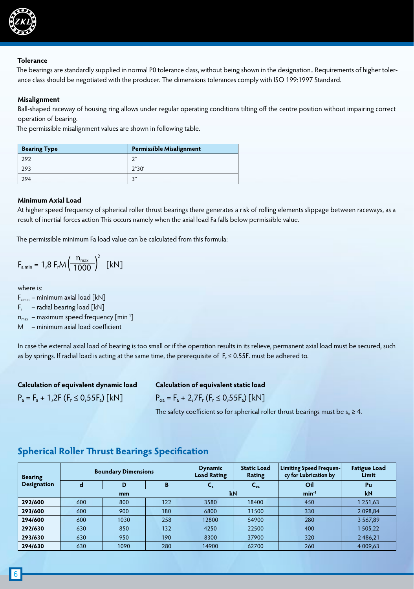

#### **Tolerance**

The bearings are standardly supplied in normal P0 tolerance class, without being shown in the designation.. Requirements of higher tolerance class should be negotiated with the producer. The dimensions tolerances comply with ISO 199:1997 Standard.

#### **Misalignment**

Ball-shaped raceway of housing ring allows under regular operating conditions tilting off the centre position without impairing correct operation of bearing.

The permissible misalignment values are shown in following table.

| <b>Bearing Type</b> | <b>Permissible Misalignment</b> |
|---------------------|---------------------------------|
| 292                 | $\mathcal{D}^{\circ}$           |
| 293                 | 2°30'                           |
| 294                 | 20                              |

#### **Minimum Axial Load**

At higher speed frequency of spherical roller thrust bearings there generates a risk of rolling elements slippage between raceways, as a result of inertial forces action This occurs namely when the axial load Fa falls below permissible value.

The permissible minimum Fa load value can be calculated from this formula:

$$
F_{\text{a min}} = 1.8 F_{\text{r}} M \left( \frac{n_{\text{max}}}{1000} \right)^2 \text{ [kN]}
$$

where is:

 $F_{\text{a min}}$  – minimum axial load [kN]

 $F_r$  – radial bearing load [kN]

 $n_{max}$  – maximum speed frequency [min<sup>-1</sup>]

M – minimum axial load coefficient

In case the external axial load of bearing is too small or if the operation results in its relieve, permanent axial load must be secured, such as by springs. If radial load is acting at the same time, the prerequisite of  $F_r \le 0.55F$ . must be adhered to.

| Calculation of equivalent dynamic load    |  |
|-------------------------------------------|--|
| $P_a = F_a + 1,2F (F_r \le 0.55F_a)$ [kN] |  |

# **Calculation of equivalent static load**

 $P_{oa} = F_a + 2,7F_r (F_r \le 0,55F_a)$  [kN]

The safety coefficient so for spherical roller thrust bearings must be  $s_0 \geq 4$ .

| <b>Bearing</b>     |     | <b>Boundary Dimensions</b> |     | <b>Dynamic</b><br><b>Load Rating</b> | <b>Static Load</b><br>Rating | <b>Limiting Speed Frequen-</b><br>cy for Lubrication by | <b>Fatigue Load</b><br>Limit |
|--------------------|-----|----------------------------|-----|--------------------------------------|------------------------------|---------------------------------------------------------|------------------------------|
| <b>Designation</b> | d   | D                          | в   | $\mathbf{v}_a$                       | $C_{\alpha}$                 | Oil                                                     | Pu                           |
| mm                 |     |                            |     | kN                                   |                              | $min^{-1}$                                              | kN                           |
| 292/600            | 600 | 800                        | 122 | 3580                                 | 18400                        | 450                                                     | 1 251,63                     |
| 293/600            | 600 | 900                        | 180 | 6800                                 | 31500                        | 330                                                     | 2 0 98, 84                   |
| 294/600            | 600 | 1030                       | 258 | 12800                                | 54900                        | 280                                                     | 3 5 6 7, 8 9                 |
| 292/630            | 630 | 850                        | 132 | 4250                                 | 22500                        | 400                                                     | 505,22                       |
| 293/630            | 630 | 950                        | 190 | 8300                                 | 37900                        | 320                                                     | 2486,21                      |
| 294/630            | 630 | 1090                       | 280 | 14900                                | 62700                        | 260                                                     | 4 009,63                     |

## **Spherical Roller Thrust Bearings Specification**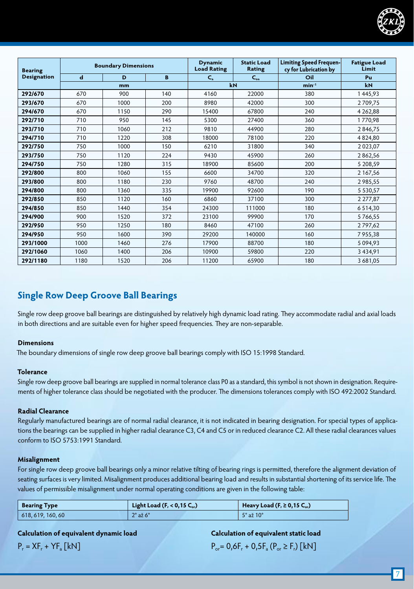

| <b>Bearing</b>     |             | <b>Boundary Dimensions</b> |     | <b>Dynamic</b><br><b>Load Rating</b> | <b>Static Load</b><br><b>Rating</b> | Limiting Speed Frequen-<br>cy for Lubrication by | <b>Fatigue Load</b><br>Limit |
|--------------------|-------------|----------------------------|-----|--------------------------------------|-------------------------------------|--------------------------------------------------|------------------------------|
| <b>Designation</b> | $\mathbf d$ | D                          | B   | $C_{a}$                              | $C_{oa}$                            | Oil                                              | Pu                           |
|                    |             | mm                         |     |                                      | kN                                  | $min-1$                                          | kN                           |
| 292/670            | 670         | 900                        | 140 | 4160                                 | 22000                               | 380                                              | 1445,93                      |
| 293/670            | 670         | 1000                       | 200 | 8980                                 | 42000                               | 300                                              | 2709,75                      |
| 294/670            | 670         | 1150                       | 290 | 15400                                | 67800                               | 240                                              | 4 2 6 2,88                   |
| 292/710            | 710         | 950                        | 145 | 5300                                 | 27400                               | 360                                              | 1770,98                      |
| 293/710            | 710         | 1060                       | 212 | 9810                                 | 44900                               | 280                                              | 2846,75                      |
| 294/710            | 710         | 1220                       | 308 | 18000                                | 78100                               | 220                                              | 4824,80                      |
| 292/750            | 750         | 1000                       | 150 | 6210                                 | 31800                               | 340                                              | 2 0 2 3 , 0 7                |
| 293/750            | 750         | 1120                       | 224 | 9430                                 | 45900                               | 260                                              | 2862,56                      |
| 294/750            | 750         | 1280                       | 315 | 18900                                | 85600                               | 200                                              | 5 208.59                     |
| 292/800            | 800         | 1060                       | 155 | 6600                                 | 34700                               | 320                                              | 2 167,56                     |
| 293/800            | 800         | 1180                       | 230 | 9760                                 | 48700                               | 240                                              | 2985,55                      |
| 294/800            | 800         | 1360                       | 335 | 19900                                | 92600                               | 190                                              | 5 5 3 0, 5 7                 |
| 292/850            | 850         | 1120                       | 160 | 6860                                 | 37100                               | 300                                              | 2 277,87                     |
| 294/850            | 850         | 1440                       | 354 | 24300                                | 111000                              | 180                                              | 6 5 1 4 3 0                  |
| 294/900            | 900         | 1520                       | 372 | 23100                                | 99900                               | 170                                              | 5766,55                      |
| 292/950            | 950         | 1250                       | 180 | 8460                                 | 47100                               | 260                                              | 2797,62                      |
| 294/950            | 950         | 1600                       | 390 | 29200                                | 140000                              | 160                                              | 7955,38                      |
| 293/1000           | 1000        | 1460                       | 276 | 17900                                | 88700                               | 180                                              | 5 0 9 4 , 9 3                |
| 292/1060           | 1060        | 1400                       | 206 | 10900                                | 59800                               | 220                                              | 3 4 3 4, 9 1                 |
| 292/1180           | 1180        | 1520                       | 206 | 11200                                | 65900                               | 180                                              | 3 681,05                     |

# **Single Row Deep Groove Ball Bearings**

Single row deep groove ball bearings are distinguished by relatively high dynamic load rating. They accommodate radial and axial loads in both directions and are suitable even for higher speed frequencies. They are non-separable.

#### **Dimensions**

The boundary dimensions of single row deep groove ball bearings comply with ISO 15:1998 Standard.

#### **Tolerance**

Single row deep groove ball bearings are supplied in normal tolerance class P0 as a standard, this symbol is not shown in designation. Requirements of higher tolerance class should be negotiated with the producer. The dimensions tolerances comply with ISO 492:2002 Standard.

#### **Radial Clearance**

Regularly manufactured bearings are of normal radial clearance, it is not indicated in bearing designation. For special types of applications the bearings can be supplied in higher radial clearance C3, C4 and C5 or in reduced clearance C2. All these radial clearances values conform to ISO 5753:1991 Standard.

#### **Misalignment**

For single row deep groove ball bearings only a minor relative tilting of bearing rings is permitted, therefore the alignment deviation of seating surfaces is very limited. Misalignment produces additional bearing load and results in substantial shortening of its service life. The values of permissible misalignment under normal operating conditions are given in the following table:

| <b>Bearing Type</b> | Light Load ( $F_r < 0.15 C_{cr}$ ) | Heavy Load (F, $\geq$ 0,15 C <sub>or</sub> ) |
|---------------------|------------------------------------|----------------------------------------------|
| 618, 619, 160, 60   | $2^\circ$ až 6 $^\circ$            | $.5^\circ$ až $10^\circ$                     |

#### **Calculation of equivalent dynamic load**

#### **Calculation of equivalent static load**

 $P_r = XF_r + YF_a$  [kN]

## $P_{\text{or}} = 0.6F_{r} + 0.5F_{a} (P_{\text{or}} \ge F_{r})$  [kN]

7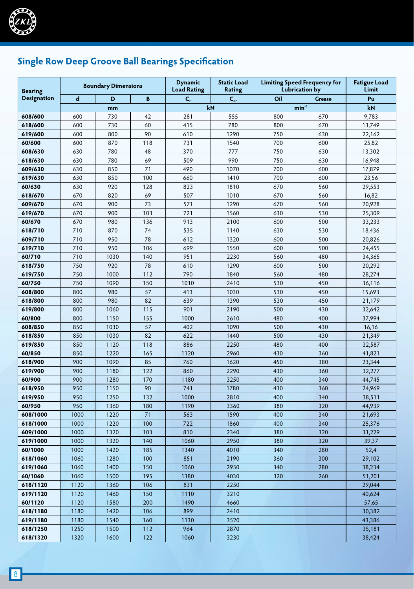

# **Single Row Deep Groove Ball Bearings Specification**

| <b>Bearing</b>     |             | <b>Boundary Dimensions</b> |                  | <b>Dynamic</b><br><b>Load Rating</b> | <b>Static Load</b><br>Rating |         | <b>Limiting Speed Frequency for</b><br><b>Lubrication by</b> |        |
|--------------------|-------------|----------------------------|------------------|--------------------------------------|------------------------------|---------|--------------------------------------------------------------|--------|
| <b>Designation</b> | $\mathbf d$ | D                          | B                | C,                                   | $C_{\rm or}$                 | Oil     | <b>Grease</b>                                                | Pu     |
|                    |             | mm                         |                  | kN                                   |                              | $min-1$ |                                                              | kN     |
| 608/600            | 600         | 730                        | 42               | 281                                  | 555                          | 800     | 670                                                          | 9,783  |
| 618/600            | 600         | 730                        | 60               | 415                                  | 780                          | 800     | 670                                                          | 13,749 |
| 619/600            | 600         | 800                        | 90               | 610                                  | 1290                         | 750     | 630                                                          | 22,162 |
| 60/600             | 600         | 870                        | 118              | 731                                  | 1540                         | 700     | 600                                                          | 25,82  |
| 608/630            | 630         | 780                        | 48               | 370                                  | 777                          | 750     | 630                                                          | 13,302 |
| 618/630            | 630         | 780                        | 69               | 509                                  | 990                          | 750     | 630                                                          | 16,948 |
| 609/630            | 630         | 850                        | 71               | 490                                  | 1070                         | 700     | 600                                                          | 17,879 |
| 619/630            | 630         | 850                        | 100              | 660                                  | 1410                         | 700     | 600                                                          | 23,56  |
| 60/630             | 630         | 920                        | 128              | 823                                  | 1810                         | 670     | 560                                                          | 29,553 |
| 618/670            | 670         | 820                        | 69               | 507                                  | 1010                         | 670     | 560                                                          | 16,82  |
| 609/670            | 670         | 900                        | 73               | 571                                  | 1290                         | 670     | 560                                                          | 20,928 |
| 619/670            | 670         | 900                        | 103              | 721                                  | 1560                         | 630     | 530                                                          | 25,309 |
| 60/670             | 670         | 980                        | 136              | 913                                  | 2100                         | 600     | 500                                                          | 33,233 |
| 618/710            | 710         | 870                        | 74               | 535                                  | 1140                         | 630     | 530                                                          | 18,436 |
| 609/710            | 710         | 950                        | 78               | 612                                  | 1320                         | 600     | 500                                                          | 20,826 |
| 619/710            | 710         | 950                        | 106              | 699                                  | 1550                         | 600     | 500                                                          | 24,455 |
| 60/710             | 710         | 1030                       | 140              | 951                                  | 2230                         | 560     | 480                                                          | 34,365 |
| 618/750            | 750         | 920                        | 78               | 610                                  | 1290                         | 600     | 500                                                          | 20,292 |
| 619/750            | 750         | 1000                       | 112              | 790                                  | 1840                         | 560     | 480                                                          | 28,274 |
| 60/750             | 750         | 1090                       | 150              | 1010                                 | 2410                         | 530     | 450                                                          | 36,116 |
| 608/800            | 800         | 980                        | 57               | 413                                  | 1030                         | 530     | 450                                                          | 15,693 |
| 618/800            | 800         | 980                        | 82               | 639                                  | 1390                         | 530     | 450                                                          | 21,179 |
| 619/800            | 800         | 1060                       | 115              | 901                                  | 2190                         | 500     | 430                                                          | 32,642 |
| 60/800             | 800         | 1150                       | 155              | 1000                                 | 2610                         | 480     | 400                                                          | 37,994 |
| 608/850            | 850         | 1030                       | 57               | 402                                  | 1090                         | 500     | 430                                                          | 16,16  |
| 618/850            | 850         | 1030                       | 82               | 622                                  | 1440                         | 500     | 430                                                          | 21,349 |
| 619/850            | 850         | 1120                       | 118              | 886                                  | 2250                         | 480     | 400                                                          | 32,587 |
| 60/850             | 850         | 1220                       | 165              | 1120                                 | 2960                         | 430     | 360                                                          | 41,821 |
| 618/900            | 900         | 1090                       | 85               | 760                                  | 1620                         | 450     | 380                                                          | 23,344 |
| 619/900            | 900         | 1180                       | 122              | 860                                  | 2290                         | 430     | 360                                                          | 32,277 |
| 60/900             | 900         | 1280                       | 170              | 1180                                 | 3250                         | 400     | 340                                                          | 44,745 |
| 618/950            | 950         | 1150                       | 90               | 741                                  | 1780                         | 430     | 360                                                          | 24,969 |
| 619/950            | 950         | 1250                       | 132              | 1000                                 | 2810                         | 400     | 340                                                          | 38,511 |
| 60/950             | 950         | 1360                       | 180              | 1190                                 | 3360                         | 380     | 320                                                          | 44,939 |
| 608/1000           | 1000        | 1220                       | 71               | 563                                  | 1590                         | 400     | 340                                                          | 21,693 |
| 618/1000           | 1000        | 1220                       | 100              | 722                                  | 1860                         | 400     | 340                                                          | 25,376 |
| 609/1000           | 1000        | 1320                       | 103              | 810                                  | 2340                         | 380     | 320                                                          | 31,229 |
| 619/1000           | 1000        | 1320                       | 140              | 1060                                 | 2950                         | 380     | 320                                                          | 39,37  |
| 60/1000            | 1000        | 1420                       | 185              | 1340                                 | 4010                         | 340     | 280                                                          | 52,4   |
| 618/1060           | 1060        | 1280                       | 100              | 851                                  | 2190                         | 360     | 300                                                          | 29,102 |
| 619/1060           | 1060        | 1400                       | 150              | 1060                                 | 2950                         | 340     | 280                                                          | 38,234 |
| 60/1060            | 1060        | 1500                       | $\overline{195}$ | 1380                                 | 4030                         | 320     | 260                                                          | 51,201 |
| 618/1120           | 1120        | 1360                       | 106              | 831                                  | 2250                         |         |                                                              | 29,044 |
| 619/1120           | 1120        | 1460                       | 150              | 1110                                 | 3210                         |         |                                                              | 40,624 |
| 60/1120            | 1120        | 1580                       | 200              | 1490                                 | 4660                         |         |                                                              | 57,65  |
| 618/1180           | 1180        | 1420                       | 106              | 899                                  | 2410                         |         |                                                              | 30,382 |
| 619/1180           | 1180        | 1540                       | 160              | 1130                                 | 3520                         |         |                                                              | 43,386 |
| 618/1250           | 1250        | 1500                       | 112              | 964                                  | 2870                         |         |                                                              | 35,181 |
| 618/1320           | 1320        | 1600                       | 122              | 1060                                 | 3230                         |         |                                                              | 38,424 |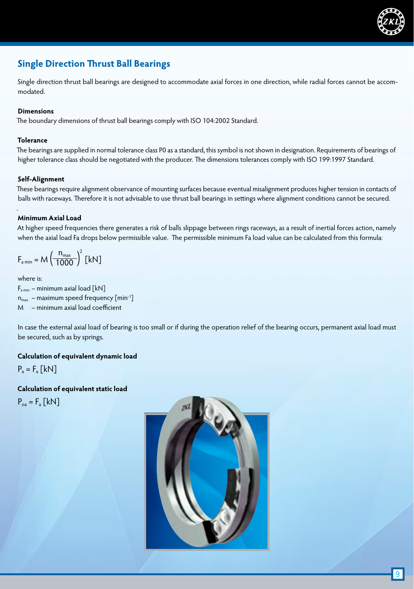

# **Single Direction Thrust Ball Bearings**

Single direction thrust ball bearings are designed to accommodate axial forces in one direction, while radial forces cannot be accommodated.

#### **Dimensions**

The boundary dimensions of thrust ball bearings comply with ISO 104:2002 Standard.

#### **Tolerance**

The bearings are supplied in normal tolerance class P0 as a standard, this symbol is not shown in designation. Requirements of bearings of higher tolerance class should be negotiated with the producer. The dimensions tolerances comply with ISO 199:1997 Standard.

#### **Self-Alignment**

These bearings require alignment observance of mounting surfaces because eventual misalignment produces higher tension in contacts of balls with raceways. Therefore it is not advisable to use thrust ball bearings in settings where alignment conditions cannot be secured.

#### **Minimum Axial Load**

At higher speed frequencies there generates a risk of balls slippage between rings raceways, as a result of inertial forces action, namely when the axial load Fa drops below permissible value. The permissible minimum Fa load value can be calculated from this formula:

$$
F_{\text{a min}} = M \left(\frac{n_{\text{max}}}{1000}\right)^2 \text{ [kN]}
$$

where is:

.

 $F_{\text{amin}}$  – minimum axial load [kN]  $n_{max}$  – maximum speed frequency [min<sup>-1</sup>] M – minimum axial load coefficient

In case the external axial load of bearing is too small or if during the operation relief of the bearing occurs, permanent axial load must be secured, such as by springs.

#### **Calculation of equivalent dynamic load**

 $P_a = F_a$  [kN]

**Calculation of equivalent static load**  $P_{oa} = F_a [kN]$ 

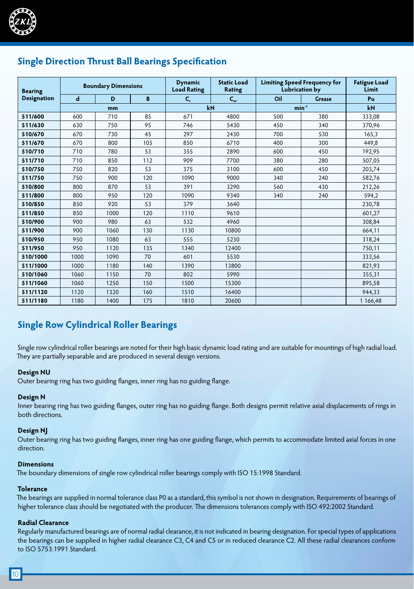

# **Single Direction Thrust Ball Bearings Specification**

| <b>Bearing</b>     | <b>Boundary Dimensions</b> |      |     | <b>Dynamic</b><br><b>Load Rating</b> | <b>Static Load</b><br><b>Rating</b> | <b>Lubrication by</b> | <b>Limiting Speed Frequency for</b> | <b>Fatigue Load</b><br>Limit |
|--------------------|----------------------------|------|-----|--------------------------------------|-------------------------------------|-----------------------|-------------------------------------|------------------------------|
| <b>Designation</b> | $\mathbf d$                | D    | B   | $C_{r}$                              | $C_{\rm or}$                        | Oil                   | <b>Grease</b>                       | Pu                           |
|                    |                            | mm   |     | kN                                   |                                     | $min-1$               | kN                                  |                              |
| 511/600            | 600                        | 710  | 85  | 671                                  | 4800                                | 500                   | 380                                 | 333,08                       |
| 511/630            | 630                        | 750  | 95  | 746                                  | 5430                                | 450                   | 340                                 | 370,96                       |
| 510/670            | 670                        | 730  | 45  | 297                                  | 2430                                | 700                   | 530                                 | 165,3                        |
| 511/670            | 670                        | 800  | 105 | 850                                  | 6710                                | 400                   | 300                                 | 449.8                        |
| 510/710            | 710                        | 780  | 53  | 355                                  | 2890                                | 600                   | 450                                 | 192,95                       |
| 511/710            | 710                        | 850  | 112 | 909                                  | 7700                                | 380                   | 280                                 | 507,05                       |
| 510/750            | 750                        | 820  | 53  | 375                                  | 3100                                | 600                   | 450                                 | 203,74                       |
| 511/750            | 750                        | 900  | 120 | 1090                                 | 9000                                | 340                   | 240                                 | 582,76                       |
| 510/800            | 800                        | 870  | 53  | 391                                  | 3290                                | 560                   | 430                                 | 212,26                       |
| 511/800            | 800                        | 950  | 120 | 1090                                 | 9340                                | 340                   | 240                                 | 594.2                        |
| 510/850            | 850                        | 920  | 53  | 379                                  | 3640                                |                       |                                     | 230,78                       |
| 511/850            | 850                        | 1000 | 120 | 1110                                 | 9610                                |                       |                                     | 601,27                       |
| 510/900            | 900                        | 980  | 63  | 532                                  | 4960                                |                       |                                     | 308,84                       |
| 511/900            | 900                        | 1060 | 130 | 1130                                 | 10800                               |                       |                                     | 664,11                       |
| 510/950            | 950                        | 1080 | 63  | 555                                  | 5230                                |                       |                                     | 318,24                       |
| 511/950            | 950                        | 1120 | 135 | 1340                                 | 12400                               |                       |                                     | 750,11                       |
| 510/1000           | 1000                       | 1090 | 70  | 601                                  | 5530                                |                       |                                     | 333,56                       |
| 511/1000           | 1000                       | 1180 | 140 | 1390                                 | 13800                               |                       |                                     | 821,93                       |
| 510/1060           | 1060                       | 1150 | 70  | 802                                  | 5990                                |                       |                                     | 355,31                       |
| 511/1060           | 1060                       | 1250 | 150 | 1500                                 | 15300                               |                       |                                     | 895,58                       |
| 511/1120           | 1120                       | 1320 | 160 | 1510                                 | 16400                               |                       |                                     | 944,33                       |
| 511/1180           | 1180                       | 1400 | 175 | 1810                                 | 20600                               |                       |                                     | 1 166,48                     |

# **Single Row Cylindrical Roller Bearings**

Single row cylindrical roller bearings are noted for their high basic dynamic load rating and are suitable for mountings of high radial load. They are partially separable and are produced in several design versions.

#### **Design NU**

Outer bearing ring has two guiding flanges, inner ring has no guiding flange.

#### **Design N**

Inner bearing ring has two guiding flanges, outer ring has no guiding flange. Both designs permit relative axial displacements of rings in both directions.

#### **Design NJ**

Outer bearing ring has two guiding flanges, inner ring has one guiding flange, which permits to accommodate limited axial forces in one direction.

#### **Dimensions**

The boundary dimensions of single row cylindrical roller bearings comply with ISO 15:1998 Standard.

#### **Tolerance**

The bearings are supplied in normal tolerance class P0 as a standard, this symbol is not shown in designation. Requirements of bearings of higher tolerance class should be negotiated with the producer. The dimensions tolerances comply with ISO 492:2002 Standard.

#### **Radial Clearance**

Regularly manufactured bearings are of normal radial clearance, it is not indicated in bearing designation. For special types of applications the bearings can be supplied in higher radial clearance C3, C4 and C5 or in reduced clearance C2. All these radial clearances conform to ISO 5753:1991 Standard.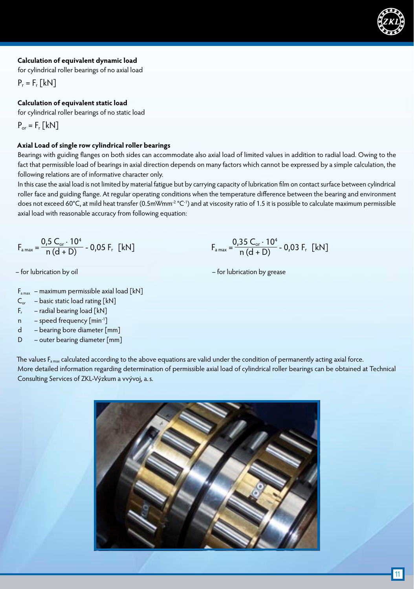#### **Calculation of equivalent dynamic load**

for cylindrical roller bearings of no axial load

 $P_r = F_r$  [kN]

## **Calculation of equivalent static load**

for cylindrical roller bearings of no static load

$$
\mathsf{P}_{\text{or}}=\mathsf{F}_{\text{r}}\left[\text{kN}\right]
$$

### **Axial Load of single row cylindrical roller bearings**

Bearings with guiding flanges on both sides can accommodate also axial load of limited values in addition to radial load. Owing to the fact that permissible load of bearings in axial direction depends on many factors which cannot be expressed by a simple calculation, the following relations are of informative character only.

In this case the axial load is not limited by material fatigue but by carrying capacity of lubrication film on contact surface between cylindrical roller face and guiding flange. At regular operating conditions when the temperature difference between the bearing and environment does not exceed 60°C, at mild heat transfer (0.5mWmm<sup>-2</sup>°C<sup>-1</sup>) and at viscosity ratio of 1.5 it is possible to calculate maximum permissible axial load with reasonable accuracy from following equation:

$$
F_{\text{a max}} = \frac{0.5 \ C_{\text{or}} \cdot 10^4}{n (d+D)} - 0.05 F_{\text{r}} \ \text{[kN]}
$$

- $F_{\text{a max}}$  maximum permissible axial load [kN]
- $C_{or}$  basic static load rating  $[kN]$
- $F_r$  radial bearing load [kN]
- n speed frequency [min-1]
- d bearing bore diameter [mm]
- D outer bearing diameter [mm]

$$
F_{\text{a max}} = \frac{0.35 \text{ C}_{\text{or}} \cdot 10^4}{n (d + D)} - 0.03 F_r \text{ [kN]}
$$

– for lubrication by oil – for lubrication by grease

The values F<sub>a max</sub> calculated according to the above equations are valid under the condition of permanently acting axial force. More detailed information regarding determination of permissible axial load of cylindrical roller bearings can be obtained at Technical Consulting Services of ZKL-Výzkum a vvývoj, a.s.

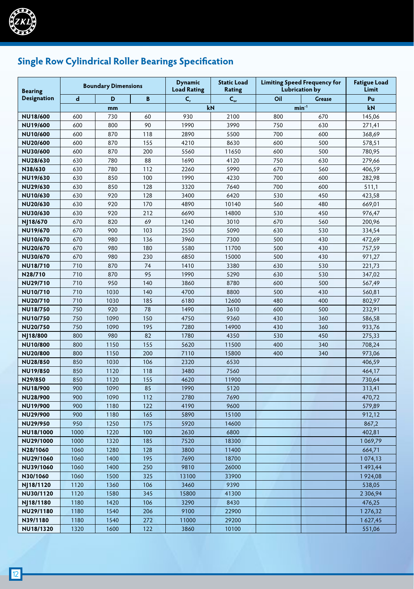

# **Single Row Cylindrical Roller Bearings Specification**

| <b>Bearing</b>       |             | <b>Boundary Dimensions</b> |            | <b>Dynamic</b><br><b>Load Rating</b> | <b>Static Load</b><br>Rating | <b>Lubrication by</b> | <b>Limiting Speed Frequency for</b> | <b>Fatigue Load</b><br>Limit |
|----------------------|-------------|----------------------------|------------|--------------------------------------|------------------------------|-----------------------|-------------------------------------|------------------------------|
| <b>Designation</b>   | $\mathbf d$ | D                          | B          | C,                                   | $C_{\rm or}$                 | Oil                   | <b>Grease</b>                       | Pu                           |
|                      |             | mm                         |            | kN                                   |                              | $min-1$               |                                     | kN                           |
| <b>NU18/600</b>      | 600         | 730                        | 60         | 930                                  | 2100                         | 800                   | 670                                 | 145,06                       |
| NU19/600             | 600         | 800                        | 90         | 1990                                 | 3990                         | 750                   | 630                                 | 271,41                       |
| NU10/600             | 600         | 870                        | 118        | 2890                                 | 5500                         | 700                   | 600                                 | 368,69                       |
| NU20/600             | 600         | 870                        | 155        | 4210                                 | 8630                         | 600                   | 500                                 | 578,51                       |
| NU30/600             | 600         | 870                        | 200        | 5560                                 | 11650                        | 600                   | 500                                 | 780,95                       |
| NU28/630             | 630         | 780                        | 88         | 1690                                 | 4120                         | 750                   | 630                                 | 279,66                       |
| N38/630              | 630         | 780                        | 112        | 2260                                 | 5990                         | 670                   | 560                                 | 406,59                       |
| NU19/630             | 630         | 850                        | 100        | 1990                                 | 4230                         | 700                   | 600                                 | 282,98                       |
| NU29/630             | 630         | 850                        | 128        | 3320                                 | 7640                         | 700                   | 600                                 | 511,1                        |
| NU10/630             | 630         | 920                        | 128        | 3400                                 | 6420                         | 530                   | 450                                 | 423,58                       |
| NU20/630             | 630         | 920                        | 170        | 4890                                 | 10140                        | 560                   | 480                                 | 669,01                       |
| NU30/630             | 630         | 920                        | 212        | 6690                                 | 14800                        | 530                   | 450                                 | 976,47                       |
| NJ18/670             | 670         | 820                        | 69         | 1240                                 | 3010                         | 670                   | 560                                 | 200,96                       |
| NU19/670             | 670         | 900                        | 103        | 2550                                 | 5090                         | 630                   | 530                                 | 334,54                       |
| NU10/670             | 670         | 980                        | 136        | 3960                                 | 7300                         | 500                   | 430                                 | 472,69                       |
| NU20/670             | 670         | 980                        | 180        | 5580                                 | 11700                        | 500                   | 430                                 | 757,59                       |
| NU30/670             | 670         | 980                        | 230        | 6850                                 | 15000                        | 500                   | 430                                 | 971,27                       |
| <b>NU18/710</b>      | 710         | 870                        | 74         | 1410                                 | 3380                         | 630                   | 530                                 | 221,73                       |
| N28/710              | 710         | 870                        | 95         | 1990                                 | 5290                         | 630                   | 530                                 | 347,02                       |
| <b>NU29/710</b>      | 710         | 950                        | 140        | 3860                                 | 8780                         | 600                   | 500                                 | 567,49                       |
| NU10/710             | 710         | 1030                       | 140        | 4700                                 | 8800                         | 500                   | 430                                 | 560,81                       |
| NU20/710             | 710         | 1030                       | 185        | 6180                                 | 12600                        | 480                   | 400                                 | 802,97                       |
| <b>NU18/750</b>      | 750         | 920                        | 78         | 1490                                 | 3610                         | 600                   | 500                                 | 232,91                       |
| <b>NU10/750</b>      | 750         | 1090                       | 150        | 4750                                 | 9360                         | 430                   | 360                                 | 586,58                       |
| NU20/750             | 750         | 1090                       | 195        | 7280                                 | 14900                        | 430                   | 360                                 | 933,76                       |
| NJ18/800             | 800         | 980                        | 82         | 1780                                 | 4350                         | 530                   | 450                                 | 275,33                       |
| <b>NU10/800</b>      | 800         | 1150                       | 155        | 5620                                 | 11500                        | 400                   | 340                                 | 708,24                       |
| <b>NU20/800</b>      | 800         | 1150                       | 200        | 7110                                 | 15800                        | 400                   | 340                                 | 973,06                       |
| NU28/850             | 850         | 1030                       | 106        | 2320                                 | 6530                         |                       |                                     | 406,59                       |
| NU19/850             | 850         | 1120                       | 118        | 3480                                 | 7560                         |                       |                                     | 464,17                       |
| N29/850              | 850         | 1120                       | 155        | 4620                                 | 11900                        |                       |                                     | 730,64                       |
| NU18/900             | 900         | 1090                       | 85         | 1990                                 | 5120                         |                       |                                     | 313,41                       |
| NU28/900             | 900<br>900  | 1090                       | 112<br>122 | 2780                                 | 7690<br>9600                 |                       |                                     | 470,72                       |
| NU19/900             |             | 1180                       |            | 4190                                 |                              |                       |                                     | 579,89                       |
| NU29/900<br>NU29/950 | 900<br>950  | 1180<br>1250               | 165<br>175 | 5890<br>5920                         | 15100<br>14600               |                       |                                     | 912,12<br>867,2              |
| NU18/1000            | 1000        | 1220                       | 100        | 2630                                 | 6800                         |                       |                                     |                              |
| NU29/1000            | 1000        | 1320                       | 185        | 7520                                 | 18300                        |                       |                                     | 402,81<br>1069,79            |
| N28/1060             | 1060        | 1280                       | 128        | 3800                                 | 11400                        |                       |                                     | 664,71                       |
| NU29/1060            | 1060        | 1400                       | 195        | 7690                                 | 18700                        |                       |                                     | 1074,13                      |
| NU39/1060            | 1060        | 1400                       | 250        | 9810                                 | 26000                        |                       |                                     | 1493,44                      |
| N30/1060             | 1060        | 1500                       | 325        | 13100                                | 33900                        |                       |                                     | 1924,08                      |
| NJ18/1120            | 1120        | 1360                       | 106        | 3460                                 | 9390                         |                       |                                     | 538,05                       |
| NU30/1120            | 1120        | 1580                       | 345        | 15800                                | 41300                        |                       |                                     | 2 3 0 6, 9 4                 |
| NJ18/1180            | 1180        | 1420                       | 106        | 3290                                 | 8430                         |                       |                                     | 476,25                       |
| NU29/1180            | 1180        | 1540                       | 206        | 9100                                 | 22900                        |                       |                                     | 1 276,32                     |
| N39/1180             | 1180        | 1540                       | 272        | 11000                                | 29200                        |                       |                                     | 1627,45                      |
| NU18/1320            | 1320        | 1600                       | 122        | 3860                                 | 10100                        |                       |                                     | 551,06                       |
|                      |             |                            |            |                                      |                              |                       |                                     |                              |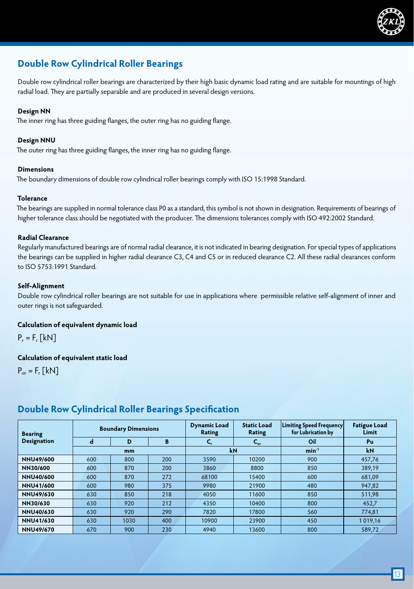

# **Double Row Cylindrical Roller Bearings**

Double row cylindrical roller bearings are characterized by their high basic dynamic load rating and are suitable for mountings of high radial load. They are partially separable and are produced in several design versions.

#### **Design NN**

The inner ring has three guiding flanges, the outer ring has no guiding flange.

#### **Design NNU**

The outer ring has three guiding flanges, the inner ring has no guiding flange.

#### **Dimensions**

The boundary dimensions of double row cylindrical roller bearings comply with ISO 15:1998 Standard.

#### **Tolerance**

The bearings are supplied in normal tolerance class P0 as a standard, this symbol is not shown in designation. Requirements of bearings of higher tolerance class should be negotiated with the producer. The dimensions tolerances comply with ISO 492:2002 Standard.

#### **Radial Clearance**

Regularly manufactured bearings are of normal radial clearance, it is not indicated in bearing designation. For special types of applications the bearings can be supplied in higher radial clearance C3, C4 and C5 or in reduced clearance C2. All these radial clearances conform to ISO 5753:1991 Standard.

#### **Self-Alignment**

Double row cylindrical roller bearings are not suitable for use in applications where permissible relative self-alignment of inner and outer rings is not safeguarded.

#### **Calculation of equivalent dynamic load**

 $P_r = F_r$  [kN]

#### **Calculation of equivalent static load**

 $P_{or} = F_r$  [kN]

#### **Bearing Designation Boundary Dimensions Dynamic Load Rating Static Load Rating Limiting Speed Frequency for Lubrication by Fatigue Load Limit d D B Cr Cor Oil Pu mm kN min-1 kN NNU49/600** 600 800 200 3590 10200 900 457,76 **NN30/600 | 6**00 | 870 | 200 | 3860 | 8800 | 850 | 389,19 **NNU40/600** | 600 | 870 | 272 | 68100 | 15400 | 600 | 681,09 **NNU41/600 6**00 980 375 9980 21900 480 947,82 **NNU49/630** 630 850 218 4050 11600 850 511,98 **NN30/630 |** 630 | 920 | 212 | 4350 | 10400 | 800 | 452,7 **NNU40/630** 630 920 290 7820 17800 560 774,81 **NNU41/630** | 630 | 1030 | 400 | 10900 | 23900 | 450 | 1019,16 **NNU49/670** | 670 | 900 | 230 | 4940 | 13600 | 800 | 589,72

### **Double Row Cylindrical Roller Bearings Specification**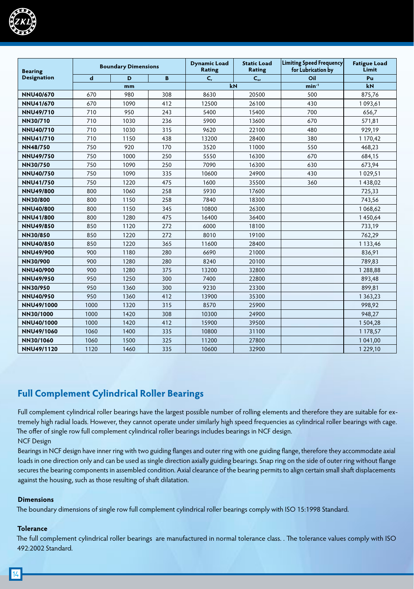

| <b>Bearing</b>     |      | <b>Boundary Dimensions</b> |     | <b>Dynamic Load</b><br>Rating | <b>Static Load</b><br>Rating | Limiting Speed Frequency <br>for Lubrication by | <b>Fatigue Load</b><br>Limit |
|--------------------|------|----------------------------|-----|-------------------------------|------------------------------|-------------------------------------------------|------------------------------|
| <b>Designation</b> | d    | D                          | B   | C,                            | $C_{\rm or}$                 | Oil                                             | Pu                           |
|                    |      | mm                         |     | kN                            |                              | $min-1$                                         | kN                           |
| <b>NNU40/670</b>   | 670  | 980                        | 308 | 8630                          | 20500                        | 500                                             | 875,76                       |
| <b>NNU41/670</b>   | 670  | 1090                       | 412 | 12500                         | 26100                        | 430                                             | 1093,61                      |
| <b>NNU49/710</b>   | 710  | 950                        | 243 | 5400                          | 15400                        | 700                                             | 656,7                        |
| NN30/710           | 710  | 1030                       | 236 | 5900                          | 13600                        | 670                                             | 571,81                       |
| <b>NNU40/710</b>   | 710  | 1030                       | 315 | 9620                          | 22100                        | 480                                             | 929,19                       |
| <b>NNU41/710</b>   | 710  | 1150                       | 438 | 13200                         | 28400                        | 380                                             | 1 170,42                     |
| <b>NN48/750</b>    | 750  | 920                        | 170 | 3520                          | 11000                        | 550                                             | 468,23                       |
| <b>NNU49/750</b>   | 750  | 1000                       | 250 | 5550                          | 16300                        | 670                                             | 684,15                       |
| NN30/750           | 750  | 1090                       | 250 | 7090                          | 16300                        | 630                                             | 673,94                       |
| <b>NNU40/750</b>   | 750  | 1090                       | 335 | 10600                         | 24900                        | 430                                             | 1029,51                      |
| <b>NNU41/750</b>   | 750  | 1220                       | 475 | 1600                          | 35500                        | 360                                             | 1438,02                      |
| <b>NNU49/800</b>   | 800  | 1060                       | 258 | 5930                          | 17600                        |                                                 | 725,33                       |
| <b>NN30/800</b>    | 800  | 1150                       | 258 | 7840                          | 18300                        |                                                 | 743,56                       |
| <b>NNU40/800</b>   | 800  | 1150                       | 345 | 10800                         | 26300                        |                                                 | 1068,62                      |
| <b>NNU41/800</b>   | 800  | 1280                       | 475 | 16400                         | 36400                        |                                                 | 1450,64                      |
| <b>NNU49/850</b>   | 850  | 1120                       | 272 | 6000                          | 18100                        |                                                 | 733,19                       |
| NN30/850           | 850  | 1220                       | 272 | 8010                          | 19100                        |                                                 | 762,29                       |
| <b>NNU40/850</b>   | 850  | 1220                       | 365 | 11600                         | 28400                        |                                                 | 1 133,46                     |
| <b>NNU49/900</b>   | 900  | 1180                       | 280 | 6690                          | 21000                        |                                                 | 836,91                       |
| NN30/900           | 900  | 1280                       | 280 | 8240                          | 20100                        |                                                 | 789,83                       |
| <b>NNU40/900</b>   | 900  | 1280                       | 375 | 13200                         | 32800                        |                                                 | 1 288,88                     |
| <b>NNU49/950</b>   | 950  | 1250                       | 300 | 7400                          | 22800                        |                                                 | 893,48                       |
| NN30/950           | 950  | 1360                       | 300 | 9230                          | 23300                        |                                                 | 899,81                       |
| <b>NNU40/950</b>   | 950  | 1360                       | 412 | 13900                         | 35300                        |                                                 | 1 3 6 3 , 2 3                |
| NNU49/1000         | 1000 | 1320                       | 315 | 8570                          | 25900                        |                                                 | 998,92                       |
| NN30/1000          | 1000 | 1420                       | 308 | 10300                         | 24900                        |                                                 | 948,27                       |
| NNU40/1000         | 1000 | 1420                       | 412 | 15900                         | 39500                        |                                                 | 1 504,28                     |
| NNU49/1060         | 1060 | 1400                       | 335 | 10800                         | 31100                        |                                                 | 1 178,57                     |
| NN30/1060          | 1060 | 1500                       | 325 | 11200                         | 27800                        |                                                 | 1 041,00                     |
| <b>NNU49/1120</b>  | 1120 | 1460                       | 335 | 10600                         | 32900                        |                                                 | 1 2 2 9 , 10                 |

# **Full Complement Cylindrical Roller Bearings**

Full complement cylindrical roller bearings have the largest possible number of rolling elements and therefore they are suitable for extremely high radial loads. However, they cannot operate under similarly high speed frequencies as cylindrical roller bearings with cage. The offer of single row full complement cylindrical roller bearings includes bearings in NCF design.

NCF Design

Bearings in NCF design have inner ring with two guiding flanges and outer ring with one guiding flange, therefore they accommodate axial loads in one direction only and can be used as single direction axially guiding bearings. Snap ring on the side of outer ring without flange secures the bearing components in assembled condition. Axial clearance of the bearing permits to align certain small shaft displacements against the housing, such as those resulting of shaft dilatation.

#### **Dimensions**

The boundary dimensions of single row full complement cylindrical roller bearings comply with ISO 15:1998 Standard.

#### **Tolerance**

The full complement cylindrical roller bearings are manufactured in normal tolerance class. . The tolerance values comply with ISO 492:2002 Standard.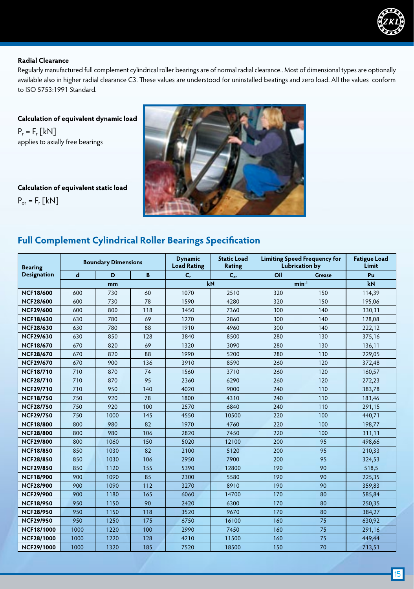

#### **Radial Clearance**

Regularly manufactured full complement cylindrical roller bearings are of normal radial clearance.. Most of dimensional types are optionally available also in higher radial clearance C3. These values are understood for uninstalled beatings and zero load. All the values conform to ISO 5753:1991 Standard.

**Calculation of equivalent dynamic load**  $P_r = F_r$  [kN] applies to axially free bearings

**Calculation of equivalent static load**  $P_{or} = F_r$  [kN]



# **Full Complement Cylindrical Roller Bearings Specification**

| <b>Bearing</b>     | <b>Boundary Dimensions</b> |      |     | <b>Dynamic</b><br><b>Load Rating</b> | <b>Static Load</b><br><b>Rating</b> | <b>Limiting Speed Frequency for</b><br><b>Lubrication by</b> |               | <b>Fatigue Load</b><br>Limit |
|--------------------|----------------------------|------|-----|--------------------------------------|-------------------------------------|--------------------------------------------------------------|---------------|------------------------------|
| <b>Designation</b> | $\mathbf d$                | D    | B   | $C_{r}$                              | $C_{\text{or}}$                     | Oil                                                          | <b>Grease</b> | Pu                           |
|                    |                            | mm   |     | kN                                   |                                     | $min^{-1}$                                                   |               | kN                           |
| <b>NCF18/600</b>   | 600                        | 730  | 60  | 1070                                 | 2510                                | 320                                                          | 150           | 114,39                       |
| <b>NCF28/600</b>   | 600                        | 730  | 78  | 1590                                 | 4280                                | 320                                                          | 150           | 195,06                       |
| <b>NCF29/600</b>   | 600                        | 800  | 118 | 3450                                 | 7360                                | 300                                                          | 140           | 330,31                       |
| <b>NCF18/630</b>   | 630                        | 780  | 69  | 1270                                 | 2860                                | 300                                                          | 140           | 128,08                       |
| <b>NCF28/630</b>   | 630                        | 780  | 88  | 1910                                 | 4960                                | 300                                                          | 140           | 222,12                       |
| <b>NCF29/630</b>   | 630                        | 850  | 128 | 3840                                 | 8500                                | 280                                                          | 130           | 375,16                       |
| <b>NCF18/670</b>   | 670                        | 820  | 69  | 1320                                 | 3090                                | 280                                                          | 130           | 136,11                       |
| <b>NCF28/670</b>   | 670                        | 820  | 88  | 1990                                 | 5200                                | 280                                                          | 130           | 229,05                       |
| <b>NCF29/670</b>   | 670                        | 900  | 136 | 3910                                 | 8590                                | 260                                                          | 120           | 372,48                       |
| <b>NCF18/710</b>   | 710                        | 870  | 74  | 1560                                 | 3710                                | 260                                                          | 120           | 160,57                       |
| <b>NCF28/710</b>   | 710                        | 870  | 95  | 2360                                 | 6290                                | 260                                                          | 120           | 272,23                       |
| <b>NCF29/710</b>   | 710                        | 950  | 140 | 4020                                 | 9000                                | 240                                                          | 110           | 383,78                       |
| <b>NCF18/750</b>   | 750                        | 920  | 78  | 1800                                 | 4310                                | 240                                                          | 110           | 183,46                       |
| <b>NCF28/750</b>   | 750                        | 920  | 100 | 2570                                 | 6840                                | 240                                                          | 110           | 291,15                       |
| <b>NCF29/750</b>   | 750                        | 1000 | 145 | 4550                                 | 10500                               | 220                                                          | 100           | 440,71                       |
| <b>NCF18/800</b>   | 800                        | 980  | 82  | 1970                                 | 4760                                | 220                                                          | 100           | 198,77                       |
| <b>NCF28/800</b>   | 800                        | 980  | 106 | 2820                                 | 7450                                | 220                                                          | 100           | 311,11                       |
| <b>NCF29/800</b>   | 800                        | 1060 | 150 | 5020                                 | 12100                               | 200                                                          | 95            | 498,66                       |
| <b>NCF18/850</b>   | 850                        | 1030 | 82  | 2100                                 | 5120                                | 200                                                          | 95            | 210,33                       |
| <b>NCF28/850</b>   | 850                        | 1030 | 106 | 2950                                 | 7900                                | 200                                                          | 95            | 324,53                       |
| <b>NCF29/850</b>   | 850                        | 1120 | 155 | 5390                                 | 12800                               | 190                                                          | 90            | 518,5                        |
| <b>NCF18/900</b>   | 900                        | 1090 | 85  | 2300                                 | 5580                                | 190                                                          | 90            | 225,35                       |
| <b>NCF28/900</b>   | 900                        | 1090 | 112 | 3270                                 | 8910                                | 190                                                          | 90            | 359,83                       |
| <b>NCF29/900</b>   | 900                        | 1180 | 165 | 6060                                 | 14700                               | 170                                                          | 80            | 585,84                       |
| <b>NCF18/950</b>   | 950                        | 1150 | 90  | 2420                                 | 6300                                | 170                                                          | 80            | 250,35                       |
| <b>NCF28/950</b>   | 950                        | 1150 | 118 | 3520                                 | 9670                                | 170                                                          | 80            | 384,27                       |
| <b>NCF29/950</b>   | 950                        | 1250 | 175 | 6750                                 | 16100                               | 160                                                          | 75            | 630,92                       |
| <b>NCF18/1000</b>  | 1000                       | 1220 | 100 | 2990                                 | 7450                                | 160                                                          | 75            | 291,16                       |
| <b>NCF28/1000</b>  | 1000                       | 1220 | 128 | 4210                                 | 11500                               | 160                                                          | 75            | 449,44                       |
| <b>NCF29/1000</b>  | 1000                       | 1320 | 185 | 7520                                 | 18500                               | 150                                                          | 70            | 713,51                       |